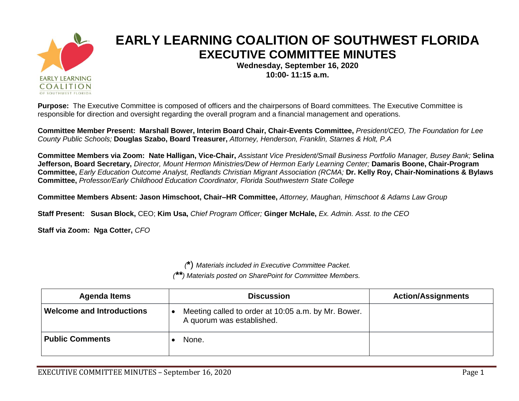

## **EARLY LEARNING COALITION OF SOUTHWEST FLORIDA EXECUTIVE COMMITTEE MINUTES**

**Wednesday, September 16, 2020 10:00- 11:15 a.m.**

**Purpose:** The Executive Committee is composed of officers and the chairpersons of Board committees. The Executive Committee is responsible for direction and oversight regarding the overall program and a financial management and operations.

Committee Member Present: Marshall Bower, Interim Board Chair, Chair-Events Committee, President/CEO, The Foundation for Lee *County Public Schools;* **Douglas Szabo, Board Treasurer,** *Attorney, Henderson, Franklin, Starnes & Holt, P.A*

Committee Members via Zoom: Nate Halligan, Vice-Chair, Assistant Vice President/Small Business Portfolio Manager, Busey Bank; Selina Jefferson, Board Secretary, Director, Mount Hermon Ministries/Dew of Hermon Early Learning Center; Damaris Boone, Chair-Program Committee, Early Education Outcome Analyst, Redlands Christian Migrant Association (RCMA; Dr. Kelly Roy, Chair-Nominations & Bylaws **Committee,** *Professor/Early Childhood Education Coordinator, Florida Southwestern State College*

**Committee Members Absent: Jason Himschoot, Chair–HR Committee,** *Attorney, Maughan, Himschoot & Adams Law Group*

**Staff Present: Susan Block,** CEO; **Kim Usa,** *Chief Program Officer;* **Ginger McHale,** *Ex. Admin. Asst. to the CEO*

**Staff via Zoom: Nga Cotter,** *CFO*

*(***\***) *Materials included in Executive Committee Packet.*

*(\*\*) Materials posted on SharePoint for Committee Members.*

| <b>Agenda Items</b>              | <b>Discussion</b>                                                                | <b>Action/Assignments</b> |
|----------------------------------|----------------------------------------------------------------------------------|---------------------------|
| <b>Welcome and Introductions</b> | Meeting called to order at 10:05 a.m. by Mr. Bower.<br>A quorum was established. |                           |
| <b>Public Comments</b>           | None.                                                                            |                           |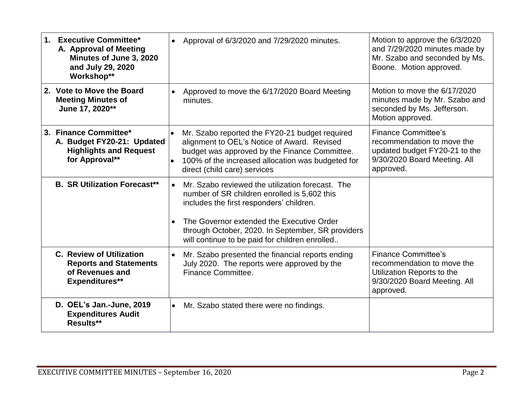| <b>Executive Committee*</b><br>$1_{-}$<br>A. Approval of Meeting<br>Minutes of June 3, 2020<br>and July 29, 2020<br>Workshop** | Approval of 6/3/2020 and 7/29/2020 minutes.                                                                                                                                                                                                                                                                   | Motion to approve the 6/3/2020<br>and 7/29/2020 minutes made by<br>Mr. Szabo and seconded by Ms.<br>Boone. Motion approved.            |
|--------------------------------------------------------------------------------------------------------------------------------|---------------------------------------------------------------------------------------------------------------------------------------------------------------------------------------------------------------------------------------------------------------------------------------------------------------|----------------------------------------------------------------------------------------------------------------------------------------|
| 2. Vote to Move the Board<br><b>Meeting Minutes of</b><br>June 17, 2020**                                                      | Approved to move the 6/17/2020 Board Meeting<br>minutes.                                                                                                                                                                                                                                                      | Motion to move the 6/17/2020<br>minutes made by Mr. Szabo and<br>seconded by Ms. Jefferson.<br>Motion approved.                        |
| 3. Finance Committee*<br>A. Budget FY20-21: Updated<br><b>Highlights and Request</b><br>for Approval**                         | Mr. Szabo reported the FY20-21 budget required<br>alignment to OEL's Notice of Award. Revised<br>budget was approved by the Finance Committee.<br>100% of the increased allocation was budgeted for<br>direct (child care) services                                                                           | <b>Finance Committee's</b><br>recommendation to move the<br>updated budget FY20-21 to the<br>9/30/2020 Board Meeting. All<br>approved. |
| <b>B. SR Utilization Forecast**</b>                                                                                            | Mr. Szabo reviewed the utilization forecast. The<br>$\bullet$<br>number of SR children enrolled is 5,602 this<br>includes the first responders' children.<br>The Governor extended the Executive Order<br>through October, 2020. In September, SR providers<br>will continue to be paid for children enrolled |                                                                                                                                        |
| <b>C. Review of Utilization</b><br><b>Reports and Statements</b><br>of Revenues and<br><b>Expenditures**</b>                   | Mr. Szabo presented the financial reports ending<br>$\bullet$<br>July 2020. The reports were approved by the<br>Finance Committee.                                                                                                                                                                            | <b>Finance Committee's</b><br>recommendation to move the<br>Utilization Reports to the<br>9/30/2020 Board Meeting. All<br>approved.    |
| D. OEL's Jan.-June, 2019<br><b>Expenditures Audit</b><br>Results**                                                             | Mr. Szabo stated there were no findings.<br>$\bullet$                                                                                                                                                                                                                                                         |                                                                                                                                        |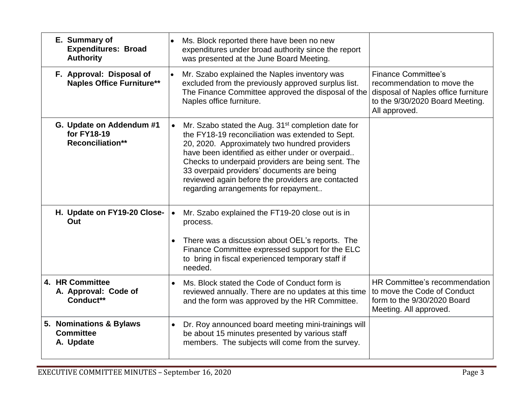| E. Summary of<br><b>Expenditures: Broad</b><br><b>Authority</b>    | Ms. Block reported there have been no new<br>expenditures under broad authority since the report<br>was presented at the June Board Meeting.                                                                                                                                                                                                                                                                                         |                                                                                                                                                     |
|--------------------------------------------------------------------|--------------------------------------------------------------------------------------------------------------------------------------------------------------------------------------------------------------------------------------------------------------------------------------------------------------------------------------------------------------------------------------------------------------------------------------|-----------------------------------------------------------------------------------------------------------------------------------------------------|
| F. Approval: Disposal of<br><b>Naples Office Furniture**</b>       | Mr. Szabo explained the Naples inventory was<br>excluded from the previously approved surplus list.<br>The Finance Committee approved the disposal of the<br>Naples office furniture.                                                                                                                                                                                                                                                | <b>Finance Committee's</b><br>recommendation to move the<br>disposal of Naples office furniture<br>to the 9/30/2020 Board Meeting.<br>All approved. |
| G. Update on Addendum #1<br>for FY18-19<br><b>Reconciliation**</b> | Mr. Szabo stated the Aug. 31 <sup>st</sup> completion date for<br>$\bullet$<br>the FY18-19 reconciliation was extended to Sept.<br>20, 2020. Approximately two hundred providers<br>have been identified as either under or overpaid<br>Checks to underpaid providers are being sent. The<br>33 overpaid providers' documents are being<br>reviewed again before the providers are contacted<br>regarding arrangements for repayment |                                                                                                                                                     |
| H. Update on FY19-20 Close-<br>Out                                 | Mr. Szabo explained the FT19-20 close out is in<br>$\bullet$<br>process.<br>There was a discussion about OEL's reports. The<br>Finance Committee expressed support for the ELC<br>to bring in fiscal experienced temporary staff if<br>needed.                                                                                                                                                                                       |                                                                                                                                                     |
| 4. HR Committee<br>A. Approval: Code of<br>Conduct**               | Ms. Block stated the Code of Conduct form is<br>reviewed annually. There are no updates at this time<br>and the form was approved by the HR Committee.                                                                                                                                                                                                                                                                               | HR Committee's recommendation<br>to move the Code of Conduct<br>form to the 9/30/2020 Board<br>Meeting. All approved.                               |
| 5. Nominations & Bylaws<br><b>Committee</b><br>A. Update           | Dr. Roy announced board meeting mini-trainings will<br>$\bullet$<br>be about 15 minutes presented by various staff<br>members. The subjects will come from the survey.                                                                                                                                                                                                                                                               |                                                                                                                                                     |